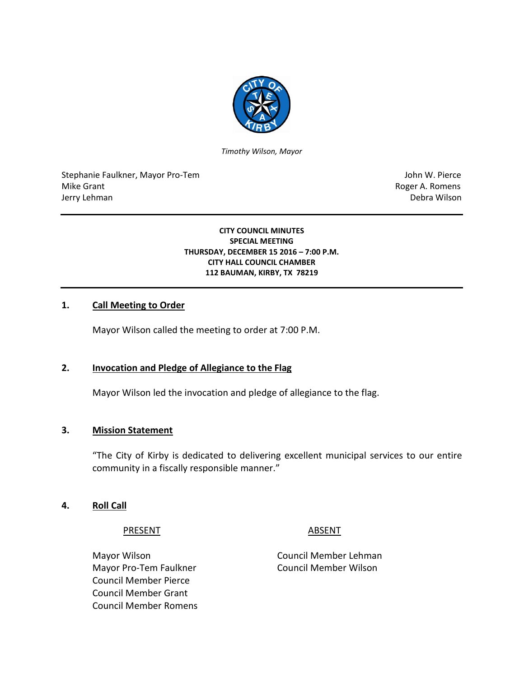

*Timothy Wilson, Mayor*

Stephanie Faulkner, Mayor Pro-Tem John W. Pierce Mike Grant **Mike Grant** Roger A. Romens **Contract A. Romens Roger A. Romens** Jerry Lehman Debra Wilson

#### **CITY COUNCIL MINUTES SPECIAL MEETING THURSDAY, DECEMBER 15 2016 – 7:00 P.M. CITY HALL COUNCIL CHAMBER 112 BAUMAN, KIRBY, TX 78219**

## **1. Call Meeting to Order**

Mayor Wilson called the meeting to order at 7:00 P.M.

## **2. Invocation and Pledge of Allegiance to the Flag**

Mayor Wilson led the invocation and pledge of allegiance to the flag.

## **3. Mission Statement**

"The City of Kirby is dedicated to delivering excellent municipal services to our entire community in a fiscally responsible manner."

#### **4. Roll Call**

#### PRESENT ABSENT

Mayor Wilson Council Member Lehman Mayor Pro-Tem Faulkner Council Member Wilson Council Member Pierce Council Member Grant Council Member Romens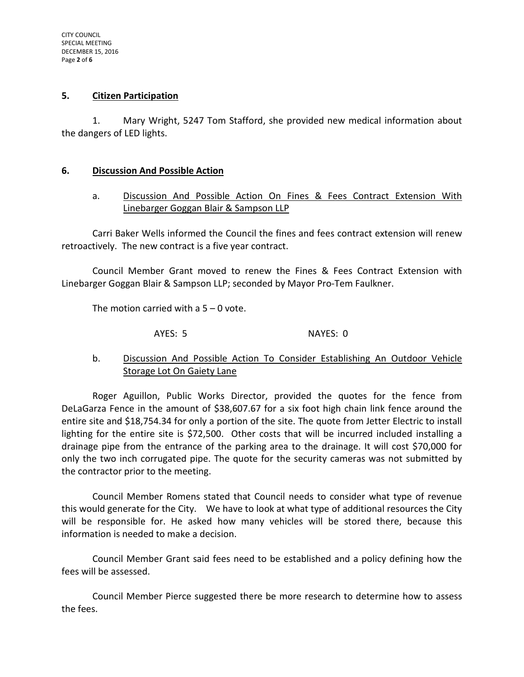#### **5. Citizen Participation**

1. Mary Wright, 5247 Tom Stafford, she provided new medical information about the dangers of LED lights.

#### **6. Discussion And Possible Action**

a. Discussion And Possible Action On Fines & Fees Contract Extension With Linebarger Goggan Blair & Sampson LLP

Carri Baker Wells informed the Council the fines and fees contract extension will renew retroactively. The new contract is a five year contract.

Council Member Grant moved to renew the Fines & Fees Contract Extension with Linebarger Goggan Blair & Sampson LLP; seconded by Mayor Pro-Tem Faulkner.

The motion carried with a  $5 - 0$  vote.

AYES: 5 NAYES: 0

# b. Discussion And Possible Action To Consider Establishing An Outdoor Vehicle **Storage Lot On Gaiety Lane**

Roger Aguillon, Public Works Director, provided the quotes for the fence from DeLaGarza Fence in the amount of \$38,607.67 for a six foot high chain link fence around the entire site and \$18,754.34 for only a portion of the site. The quote from Jetter Electric to install lighting for the entire site is \$72,500. Other costs that will be incurred included installing a drainage pipe from the entrance of the parking area to the drainage. It will cost \$70,000 for only the two inch corrugated pipe. The quote for the security cameras was not submitted by the contractor prior to the meeting.

Council Member Romens stated that Council needs to consider what type of revenue this would generate for the City. We have to look at what type of additional resources the City will be responsible for. He asked how many vehicles will be stored there, because this information is needed to make a decision.

Council Member Grant said fees need to be established and a policy defining how the fees will be assessed.

Council Member Pierce suggested there be more research to determine how to assess the fees.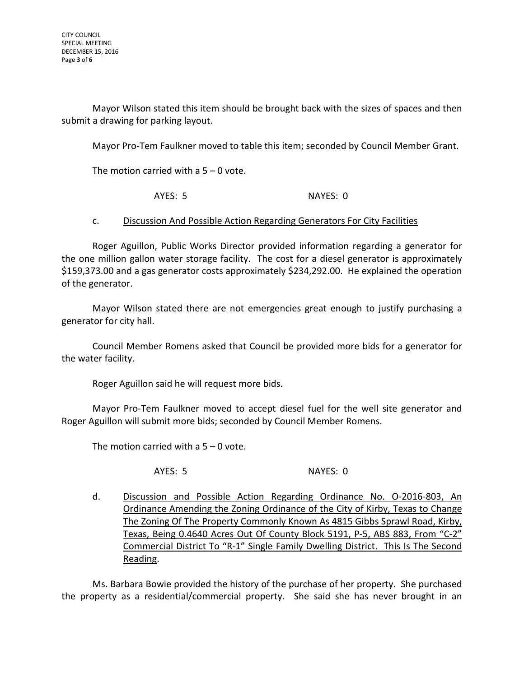Mayor Wilson stated this item should be brought back with the sizes of spaces and then submit a drawing for parking layout.

Mayor Pro-Tem Faulkner moved to table this item; seconded by Council Member Grant.

The motion carried with a  $5 - 0$  vote.

AYES: 5 NAYES: 0

## c. Discussion And Possible Action Regarding Generators For City Facilities

Roger Aguillon, Public Works Director provided information regarding a generator for the one million gallon water storage facility. The cost for a diesel generator is approximately \$159,373.00 and a gas generator costs approximately \$234,292.00. He explained the operation of the generator.

Mayor Wilson stated there are not emergencies great enough to justify purchasing a generator for city hall.

Council Member Romens asked that Council be provided more bids for a generator for the water facility.

Roger Aguillon said he will request more bids.

Mayor Pro-Tem Faulkner moved to accept diesel fuel for the well site generator and Roger Aguillon will submit more bids; seconded by Council Member Romens.

The motion carried with a  $5 - 0$  vote.

AYES: 5 NAYES: 0

d. Discussion and Possible Action Regarding Ordinance No. O-2016-803, An Ordinance Amending the Zoning Ordinance of the City of Kirby, Texas to Change The Zoning Of The Property Commonly Known As 4815 Gibbs Sprawl Road, Kirby, Texas, Being 0.4640 Acres Out Of County Block 5191, P-5, ABS 883, From "C-2" Commercial District To "R-1" Single Family Dwelling District. This Is The Second Reading.

Ms. Barbara Bowie provided the history of the purchase of her property. She purchased the property as a residential/commercial property. She said she has never brought in an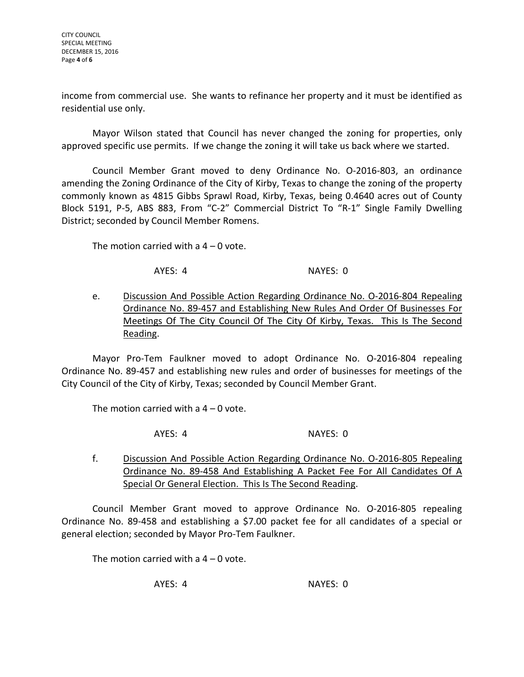CITY COUNCIL SPECIAL MEETING DECEMBER 15, 2016 Page **4** of **6**

income from commercial use. She wants to refinance her property and it must be identified as residential use only.

Mayor Wilson stated that Council has never changed the zoning for properties, only approved specific use permits. If we change the zoning it will take us back where we started.

Council Member Grant moved to deny Ordinance No. O-2016-803, an ordinance amending the Zoning Ordinance of the City of Kirby, Texas to change the zoning of the property commonly known as 4815 Gibbs Sprawl Road, Kirby, Texas, being 0.4640 acres out of County Block 5191, P-5, ABS 883, From "C-2" Commercial District To "R-1" Single Family Dwelling District; seconded by Council Member Romens.

The motion carried with a  $4 - 0$  vote.

AYES: 4 NAYES: 0

e. Discussion And Possible Action Regarding Ordinance No. O-2016-804 Repealing Ordinance No. 89-457 and Establishing New Rules And Order Of Businesses For Meetings Of The City Council Of The City Of Kirby, Texas. This Is The Second Reading.

Mayor Pro-Tem Faulkner moved to adopt Ordinance No. O-2016-804 repealing Ordinance No. 89-457 and establishing new rules and order of businesses for meetings of the City Council of the City of Kirby, Texas; seconded by Council Member Grant.

The motion carried with a  $4 - 0$  vote.

AYES: 4 NAYES: 0

f. Discussion And Possible Action Regarding Ordinance No. O-2016-805 Repealing Ordinance No. 89-458 And Establishing A Packet Fee For All Candidates Of A Special Or General Election. This Is The Second Reading.

Council Member Grant moved to approve Ordinance No. O-2016-805 repealing Ordinance No. 89-458 and establishing a \$7.00 packet fee for all candidates of a special or general election; seconded by Mayor Pro-Tem Faulkner.

The motion carried with a  $4 - 0$  vote.

AYES: 4 NAYES: 0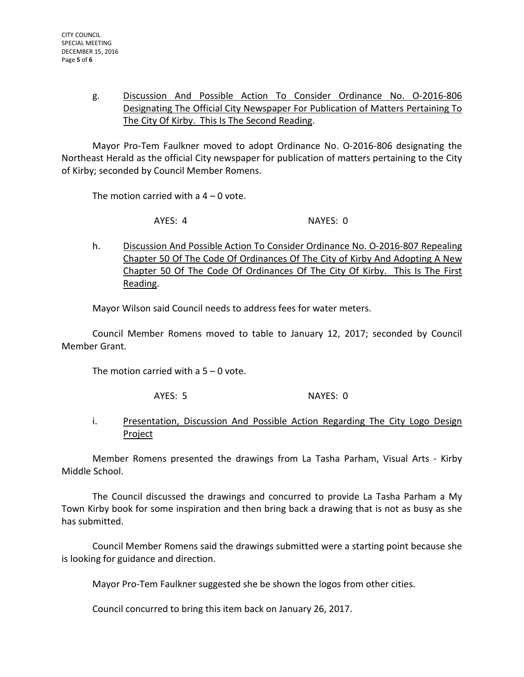# g. Discussion And Possible Action To Consider Ordinance No. O-2016-806 Designating The Official City Newspaper For Publication of Matters Pertaining To The City Of Kirby. This Is The Second Reading.

Mayor Pro-Tem Faulkner moved to adopt Ordinance No. O-2016-806 designating the Northeast Herald as the official City newspaper for publication of matters pertaining to the City of Kirby; seconded by Council Member Romens.

The motion carried with a  $4 - 0$  vote.

AYES: 4 NAYES: 0

h. Discussion And Possible Action To Consider Ordinance No. O-2016-807 Repealing Chapter 50 Of The Code Of Ordinances Of The City of Kirby And Adopting A New Chapter 50 Of The Code Of Ordinances Of The City Of Kirby. This Is The First Reading.

Mayor Wilson said Council needs to address fees for water meters.

Council Member Romens moved to table to January 12, 2017; seconded by Council Member Grant.

The motion carried with a  $5 - 0$  vote.

AYES: 5 NAYES: 0

# i. Presentation, Discussion And Possible Action Regarding The City Logo Design Project

Member Romens presented the drawings from La Tasha Parham, Visual Arts - Kirby Middle School.

The Council discussed the drawings and concurred to provide La Tasha Parham a My Town Kirby book for some inspiration and then bring back a drawing that is not as busy as she has submitted.

Council Member Romens said the drawings submitted were a starting point because she is looking for guidance and direction.

Mayor Pro-Tem Faulkner suggested she be shown the logos from other cities.

Council concurred to bring this item back on January 26, 2017.